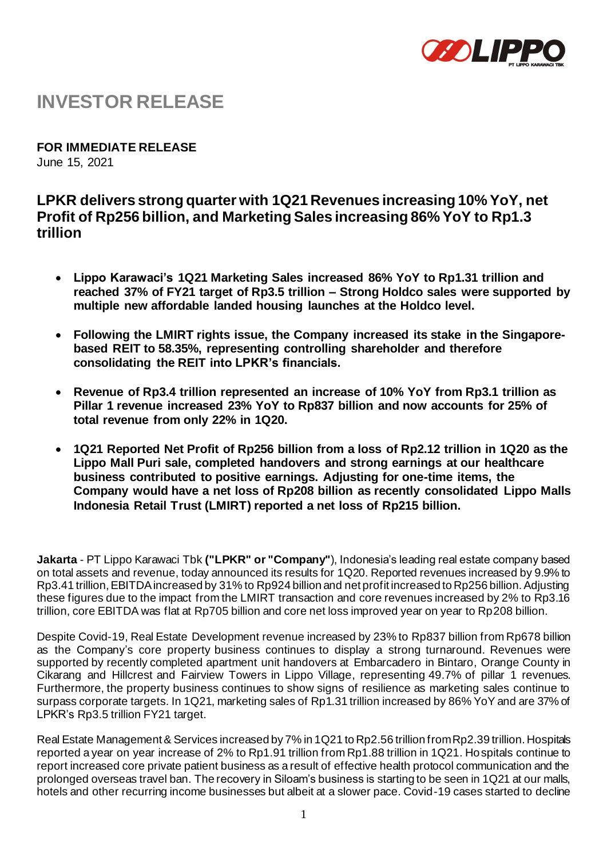

# **INVESTOR RELEASE**

**FOR IMMEDIATE RELEASE** June 15, 2021

# **LPKR delivers strong quarter with 1Q21 Revenues increasing 10% YoY, net Profit of Rp256 billion, and Marketing Sales increasing 86% YoY to Rp1.3 trillion**

- **Lippo Karawaci's 1Q21 Marketing Sales increased 86% YoY to Rp1.31 trillion and reached 37% of FY21 target of Rp3.5 trillion – Strong Holdco sales were supported by multiple new affordable landed housing launches at the Holdco level.**
- **Following the LMIRT rights issue, the Company increased its stake in the Singaporebased REIT to 58.35%, representing controlling shareholder and therefore consolidating the REIT into LPKR's financials.**
- **Revenue of Rp3.4 trillion represented an increase of 10% YoY from Rp3.1 trillion as Pillar 1 revenue increased 23% YoY to Rp837 billion and now accounts for 25% of total revenue from only 22% in 1Q20.**
- **1Q21 Reported Net Profit of Rp256 billion from a loss of Rp2.12 trillion in 1Q20 as the Lippo Mall Puri sale, completed handovers and strong earnings at our healthcare business contributed to positive earnings. Adjusting for one-time items, the Company would have a net loss of Rp208 billion as recently consolidated Lippo Malls Indonesia Retail Trust (LMIRT) reported a net loss of Rp215 billion.**

**Jakarta** - PT Lippo Karawaci Tbk **("LPKR" or "Company"**), Indonesia's leading real estate company based on total assets and revenue, today announced its results for 1Q20. Reported revenues increased by 9.9% to Rp3.41 trillion, EBITDA increased by 31% to Rp924 billion and net profit increased to Rp256 billion. Adjusting these figures due to the impact from the LMIRT transaction and core revenues increased by 2% to Rp3.16 trillion, core EBITDA was flat at Rp705 billion and core net loss improved year on year to Rp208 billion.

Despite Covid-19, Real Estate Development revenue increased by 23% to Rp837 billion from Rp678 billion as the Company's core property business continues to display a strong turnaround. Revenues were supported by recently completed apartment unit handovers at Embarcadero in Bintaro, Orange County in Cikarang and Hillcrest and Fairview Towers in Lippo Village, representing 49.7% of pillar 1 revenues. Furthermore, the property business continues to show signs of resilience as marketing sales continue to surpass corporate targets. In 1Q21, marketing sales of Rp1.31 trillion increased by 86% YoY and are 37% of LPKR's Rp3.5 trillion FY21 target.

Real Estate Management & Services increased by 7% in 1Q21 to Rp2.56 trillion from Rp2.39 trillion. Hospitals reported a year on year increase of 2% to Rp1.91 trillion from Rp1.88 trillion in 1Q21. Hospitals continue to report increased core private patient business as a result of effective health protocol communication and the prolonged overseas travel ban. The recovery in Siloam's business is starting to be seen in 1Q21 at our malls, hotels and other recurring income businesses but albeit at a slower pace. Covid-19 cases started to decline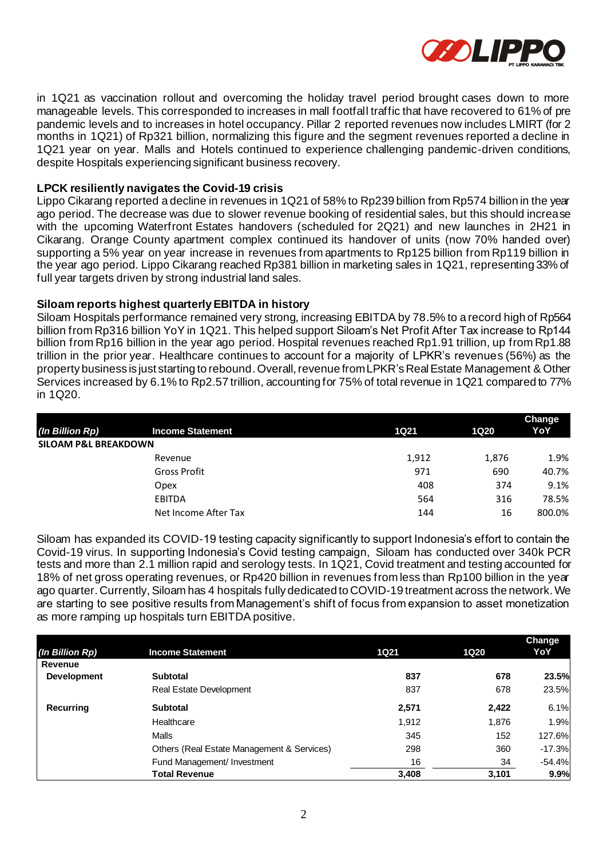

in 1Q21 as vaccination rollout and overcoming the holiday travel period brought cases down to more manageable levels. This corresponded to increases in mall footfall traffic that have recovered to 61% of pre pandemic levels and to increases in hotel occupancy. Pillar 2 reported revenues now includes LMIRT (for 2 months in 1Q21) of Rp321 billion, normalizing this figure and the segment revenues reported a decline in 1Q21 year on year. Malls and Hotels continued to experience challenging pandemic-driven conditions, despite Hospitals experiencing significant business recovery.

# **LPCK resiliently navigates the Covid-19 crisis**

Lippo Cikarang reported a decline in revenues in 1Q21 of 58% to Rp239 billion from Rp574 billion in the year ago period. The decrease was due to slower revenue booking of residential sales, but this should increase with the upcoming Waterfront Estates handovers (scheduled for 2Q21) and new launches in 2H21 in Cikarang. Orange County apartment complex continued its handover of units (now 70% handed over) supporting a 5% year on year increase in revenues from apartments to Rp125 billion from Rp119 billion in the year ago period. Lippo Cikarang reached Rp381 billion in marketing sales in 1Q21, representing 33% of full year targets driven by strong industrial land sales.

### **Siloam reports highest quarterly EBITDA in history**

Siloam Hospitals performance remained very strong, increasing EBITDA by 78.5% to a record high of Rp564 billion from Rp316 billion YoY in 1Q21. This helped support Siloam's Net Profit After Tax increase to Rp144 billion from Rp16 billion in the year ago period. Hospital revenues reached Rp1.91 trillion, up from Rp1.88 trillion in the prior year. Healthcare continues to account for a majority of LPKR's revenues (56%) as the property business is just starting to rebound. Overall, revenue from LPKR's Real Estate Management & Other Services increased by 6.1% to Rp2.57 trillion, accounting for 75% of total revenue in 1Q21 compared to 77% in 1Q20.

|                                 |                         |       |             | Change |
|---------------------------------|-------------------------|-------|-------------|--------|
| (In Billion Rp)                 | <b>Income Statement</b> | 1Q21  | <b>1Q20</b> | YoY    |
| <b>SILOAM P&amp;L BREAKDOWN</b> |                         |       |             |        |
|                                 | Revenue                 | 1,912 | 1,876       | 1.9%   |
|                                 | <b>Gross Profit</b>     | 971   | 690         | 40.7%  |
|                                 | Opex                    | 408   | 374         | 9.1%   |
|                                 | <b>EBITDA</b>           | 564   | 316         | 78.5%  |
|                                 | Net Income After Tax    | 144   | 16          | 800.0% |

Siloam has expanded its COVID-19 testing capacity significantly to support Indonesia's effort to contain the Covid-19 virus. In supporting Indonesia's Covid testing campaign, Siloam has conducted over 340k PCR tests and more than 2.1 million rapid and serology tests. In 1Q21, Covid treatment and testing accounted for 18% of net gross operating revenues, or Rp420 billion in revenues from less than Rp100 billion in the year ago quarter. Currently, Siloam has 4 hospitals fully dedicated to COVID-19 treatment across the network. We are starting to see positive results from Management's shift of focus from expansion to asset monetization as more ramping up hospitals turn EBITDA positive.

| (In Billion Rp)    | <b>Income Statement</b>                    | <b>1Q21</b> | <b>1Q20</b> | <b>Change</b><br>YoY |
|--------------------|--------------------------------------------|-------------|-------------|----------------------|
| Revenue            |                                            |             |             |                      |
| <b>Development</b> | <b>Subtotal</b>                            | 837         | 678         | 23.5%                |
|                    | Real Estate Development                    | 837         | 678         | 23.5%                |
| Recurring          | <b>Subtotal</b>                            | 2,571       | 2,422       | 6.1%                 |
|                    | Healthcare                                 | 1,912       | 1,876       | 1.9%                 |
|                    | Malls                                      | 345         | 152         | 127.6%               |
|                    | Others (Real Estate Management & Services) | 298         | 360         | $-17.3%$             |
|                    | Fund Management/ Investment                | 16          | 34          | $-54.4%$             |
|                    | <b>Total Revenue</b>                       | 3,408       | 3,101       | 9.9%                 |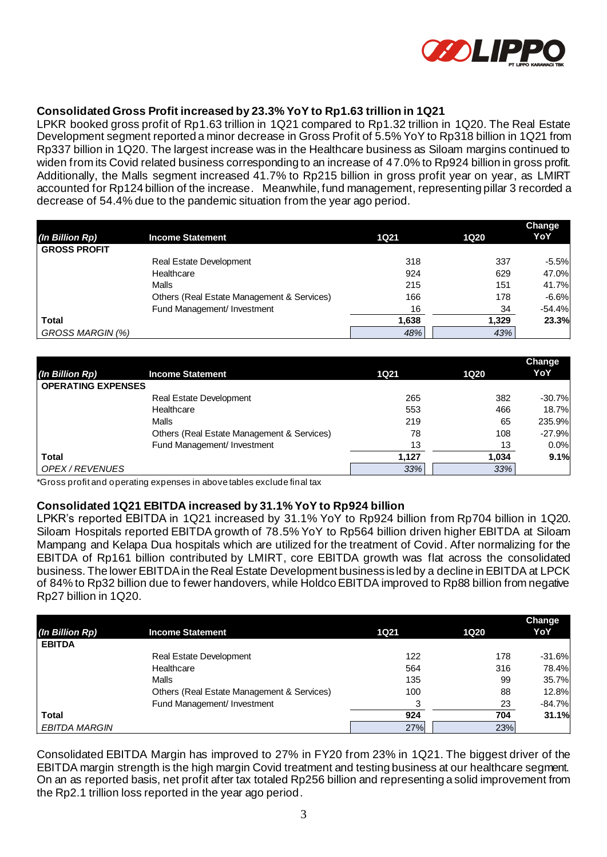

# **Consolidated Gross Profit increased by 23.3% YoY to Rp1.63 trillion in 1Q21**

LPKR booked gross profit of Rp1.63 trillion in 1Q21 compared to Rp1.32 trillion in 1Q20. The Real Estate Development segment reported a minor decrease in Gross Profit of 5.5% YoY to Rp318 billion in 1Q21 from Rp337 billion in 1Q20. The largest increase was in the Healthcare business as Siloam margins continued to widen from its Covid related business corresponding to an increase of 47.0% to Rp924 billion in gross profit. Additionally, the Malls segment increased 41.7% to Rp215 billion in gross profit year on year, as LMIRT accounted for Rp124 billion of the increase. Meanwhile, fund management, representing pillar 3 recorded a decrease of 54.4% due to the pandemic situation from the year ago period.

|                     |                                            |             |             | Change   |
|---------------------|--------------------------------------------|-------------|-------------|----------|
| (In Billion Rp)     | <b>Income Statement</b>                    | <b>1Q21</b> | <b>1Q20</b> | YoY      |
| <b>GROSS PROFIT</b> |                                            |             |             |          |
|                     | Real Estate Development                    | 318         | 337         | $-5.5%$  |
|                     | Healthcare                                 | 924         | 629         | 47.0%    |
|                     | Malls                                      | 215         | 151         | 41.7%    |
|                     | Others (Real Estate Management & Services) | 166         | 178         | $-6.6%$  |
|                     | Fund Management/ Investment                | 16          | 34          | $-54.4%$ |
| <b>Total</b>        |                                            | 1,638       | 1,329       | 23.3%    |
| GROSS MARGIN (%)    |                                            | 48%         | 43%         |          |

|                           |                                            |             |             | <b>Change</b> |
|---------------------------|--------------------------------------------|-------------|-------------|---------------|
| (In Billion Rp)           | <b>Income Statement</b>                    | <b>1Q21</b> | <b>1Q20</b> | YoY           |
| <b>OPERATING EXPENSES</b> |                                            |             |             |               |
|                           | <b>Real Estate Development</b>             | 265         | 382         | $-30.7%$      |
|                           | Healthcare                                 | 553         | 466         | 18.7%         |
|                           | Malls                                      | 219         | 65          | 235.9%        |
|                           | Others (Real Estate Management & Services) | 78          | 108         | $-27.9%$      |
|                           | Fund Management/ Investment                | 13          | 13          | 0.0%          |
| <b>Total</b>              |                                            | 1.127       | 1.034       | 9.1%          |
| OPEX / REVENUES           |                                            | 33%         | 33%         |               |

\*Gross profit and operating expenses in above tables exclude final tax

#### **Consolidated 1Q21 EBITDA increased by 31.1% YoY to Rp924 billion**

LPKR's reported EBITDA in 1Q21 increased by 31.1% YoY to Rp924 billion from Rp704 billion in 1Q20. Siloam Hospitals reported EBITDA growth of 78.5% YoY to Rp564 billion driven higher EBITDA at Siloam Mampang and Kelapa Dua hospitals which are utilized for the treatment of Covid. After normalizing for the EBITDA of Rp161 billion contributed by LMIRT, core EBITDA growth was flat across the consolidated business. The lower EBITDA in the Real Estate Development business is led by a decline in EBITDA at LPCK of 84% to Rp32 billion due to fewer handovers, while Holdco EBITDA improved to Rp88 billion from negative Rp27 billion in 1Q20.

|                      |                                            |             |      | Change   |
|----------------------|--------------------------------------------|-------------|------|----------|
| (In Billion Rp)      | <b>Income Statement</b>                    | <b>1Q21</b> | 1Q20 | YoY      |
| <b>EBITDA</b>        |                                            |             |      |          |
|                      | <b>Real Estate Development</b>             | 122         | 178  | $-31.6%$ |
|                      | Healthcare                                 | 564         | 316  | 78.4%    |
|                      | Malls                                      | 135         | 99   | 35.7%    |
|                      | Others (Real Estate Management & Services) | 100         | 88   | 12.8%    |
|                      | Fund Management/ Investment                | 3           | 23   | $-84.7%$ |
| <b>Total</b>         |                                            | 924         | 704  | 31.1%    |
| <b>EBITDA MARGIN</b> |                                            | 27%         | 23%  |          |

Consolidated EBITDA Margin has improved to 27% in FY20 from 23% in 1Q21. The biggest driver of the EBITDA margin strength is the high margin Covid treatment and testing business at our healthcare segment. On an as reported basis, net profit after tax totaled Rp256 billion and representing a solid improvement from the Rp2.1 trillion loss reported in the year ago period.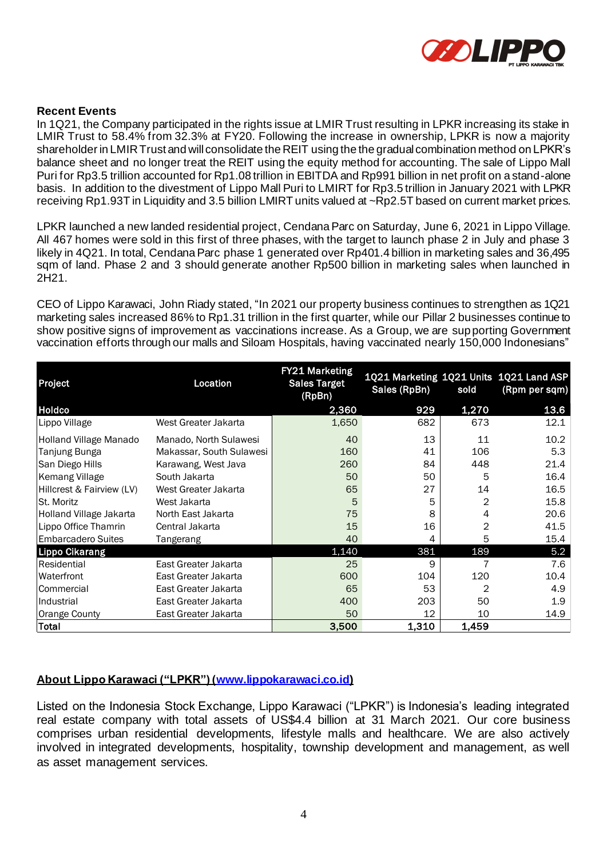

# **Recent Events**

In 1Q21, the Company participated in the rights issue at LMIR Trust resulting in LPKR increasing its stake in LMIR Trust to 58.4% from 32.3% at FY20. Following the increase in ownership, LPKR is now a majority shareholder in LMIR Trust and will consolidate the REIT using the the gradual combination method on LPKR's balance sheet and no longer treat the REIT using the equity method for accounting. The sale of Lippo Mall Puri for Rp3.5 trillion accounted for Rp1.08 trillion in EBITDA and Rp991 billion in net profit on a stand-alone basis. In addition to the divestment of Lippo Mall Puri to LMIRT for Rp3.5 trillion in January 2021 with LPKR receiving Rp1.93T in Liquidity and 3.5 billion LMIRT units valued at ~Rp2.5T based on current market prices.

LPKR launched a new landed residential project, Cendana Parc on Saturday, June 6, 2021 in Lippo Village. All 467 homes were sold in this first of three phases, with the target to launch phase 2 in July and phase 3 likely in 4Q21. In total, Cendana Parc phase 1 generated over Rp401.4 billion in marketing sales and 36,495 sqm of land. Phase 2 and 3 should generate another Rp500 billion in marketing sales when launched in 2H21.

CEO of Lippo Karawaci, John Riady stated, "In 2021 our property business continues to strengthen as 1Q21 marketing sales increased 86% to Rp1.31 trillion in the first quarter, while our Pillar 2 businesses continue to show positive signs of improvement as vaccinations increase. As a Group, we are supporting Government vaccination efforts through our malls and Siloam Hospitals, having vaccinated nearly 150,000 Indonesians"

| Project                   | Location                 | <b>FY21 Marketing</b><br><b>Sales Target</b><br>(RpBn) | Sales (RpBn) | sold  | 1Q21 Marketing 1Q21 Units 1Q21 Land ASP<br>(Rpm per sqm) |
|---------------------------|--------------------------|--------------------------------------------------------|--------------|-------|----------------------------------------------------------|
| Holdco                    |                          | 2,360                                                  | 929          | 1,270 | 13.6                                                     |
| Lippo Village             | West Greater Jakarta     | 1,650                                                  | 682          | 673   | 12.1                                                     |
| Holland Village Manado    | Manado, North Sulawesi   | 40                                                     | 13           | 11    | 10.2                                                     |
| Tanjung Bunga             | Makassar, South Sulawesi | 160                                                    | 41           | 106   | 5.3                                                      |
| San Diego Hills           | Karawang, West Java      | 260                                                    | 84           | 448   | 21.4                                                     |
| Kemang Village            | South Jakarta            | 50                                                     | 50           | 5     | 16.4                                                     |
| Hillcrest & Fairview (LV) | West Greater Jakarta     | 65                                                     | 27           | 14    | 16.5                                                     |
| St. Moritz                | West Jakarta             | 5                                                      | 5            | 2     | 15.8                                                     |
| Holland Village Jakarta   | North East Jakarta       | 75                                                     | 8            | 4     | 20.6                                                     |
| Lippo Office Thamrin      | Central Jakarta          | 15                                                     | 16           | 2     | 41.5                                                     |
| <b>Embarcadero Suites</b> | Tangerang                | 40                                                     | 4            | 5     | 15.4                                                     |
| <b>Lippo Cikarang</b>     |                          | 1,140                                                  | 381          | 189   | 5.2                                                      |
| Residential               | East Greater Jakarta     | 25                                                     | 9            |       | 7.6                                                      |
| Waterfront                | East Greater Jakarta     | 600                                                    | 104          | 120   | 10.4                                                     |
| Commercial                | East Greater Jakarta     | 65                                                     | 53           | 2     | 4.9                                                      |
| Industrial                | East Greater Jakarta     | 400                                                    | 203          | 50    | 1.9                                                      |
| Orange County             | East Greater Jakarta     | 50                                                     | 12           | 10    | 14.9                                                     |
| Total                     |                          | 3,500                                                  | 1,310        | 1,459 |                                                          |

# **About Lippo Karawaci ("LPKR") [\(www.lippokarawaci.co.id\)](http://www.lippokarawaci.co.id/)**

Listed on the Indonesia Stock Exchange, Lippo Karawaci ("LPKR") is Indonesia's leading integrated real estate company with total assets of US\$4.4 billion at 31 March 2021. Our core business comprises urban residential developments, lifestyle malls and healthcare. We are also actively involved in integrated developments, hospitality, township development and management, as well as asset management services.